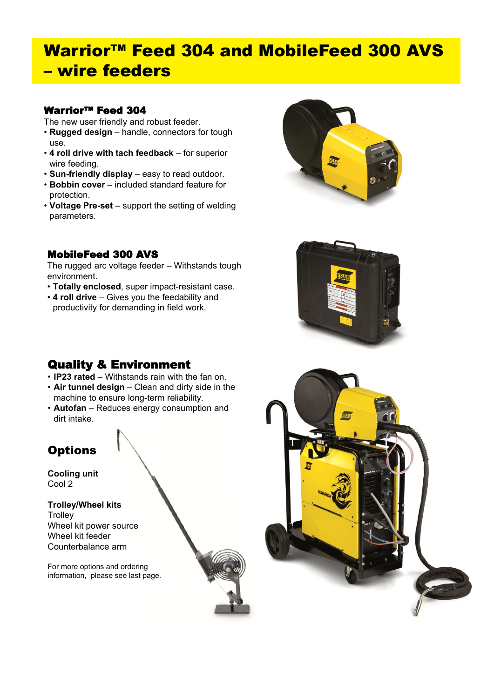# Warrior™ Feed 304 and MobileFeed 300 AVS – wire feeders

# Warrior™ Feed 304

The new user friendly and robust feeder.

- **Rugged design**  handle, connectors for tough use.
- **4 roll drive with tach feedback**  for superior wire feeding.
- **Sun-friendly display**  easy to read outdoor.
- **Bobbin cover**  included standard feature for protection.
- **Voltage Pre-set**  support the setting of welding parameters.



# MobileFeed 300 AVS

The rugged arc voltage feeder – Withstands tough environment.

- **Totally enclosed**, super impact-resistant case.
- **4 roll drive**  Gives you the feedability and productivity for demanding in field work.

# Quality & Environment

- **IP23 rated**  Withstands rain with the fan on.
- **Air tunnel design**  Clean and dirty side in the machine to ensure long-term reliability.
- **Autofan** Reduces energy consumption and dirt intake.

# **Options**

**Cooling unit** Cool 2

## **Trolley/Wheel kits**

**Trolley** Wheel kit power source Wheel kit feeder Counterbalance arm

For more options and ordering information, please see last page.